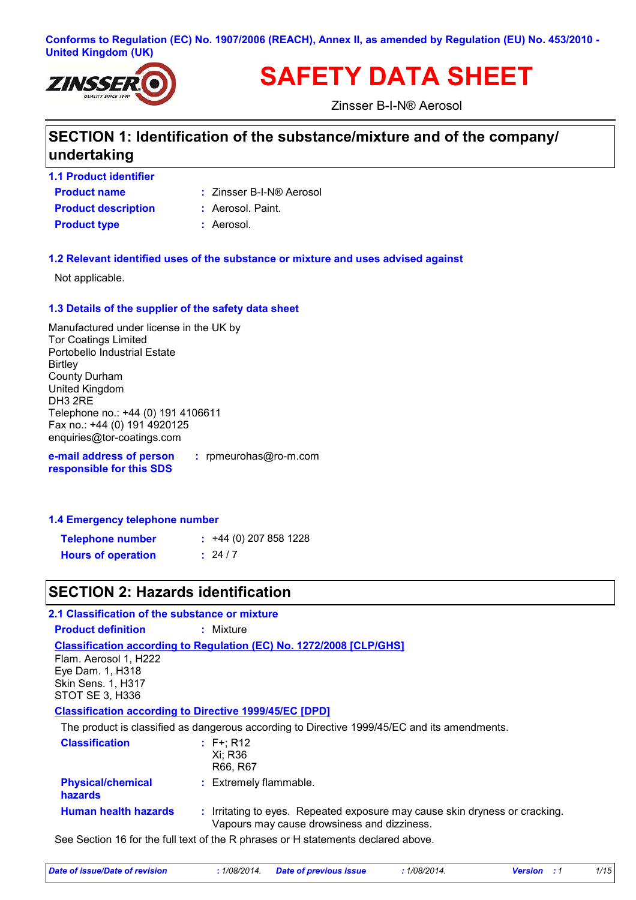#### **Conforms to Regulation (EC) No. 1907/2006 (REACH), Annex II, as amended by Regulation (EU) No. 453/2010 - United Kingdom (UK)**



# **SAFETY DATA SHEET**

Zinsser B-I-N® Aerosol

# **SECTION 1: Identification of the substance/mixture and of the company/ undertaking**

- **Product name 1.1 Product identifier**
- Zinsser B-I-N® Aerosol **:**
- **Product description :** Aerosol. Paint.
- **Product type :** Aerosol.

### **1.2 Relevant identified uses of the substance or mixture and uses advised against**

Not applicable.

#### **1.3 Details of the supplier of the safety data sheet**

Manufactured under license in the UK by Tor Coatings Limited Portobello Industrial Estate **Birtley** County Durham United Kingdom DH3 2RE Telephone no.: +44 (0) 191 4106611 Fax no.: +44 (0) 191 4920125 enquiries@tor-coatings.com

**e-mail address of person responsible for this SDS :** rpmeurohas@ro-m.com

#### **1.4 Emergency telephone number**

| <b>Telephone number</b>   | $: +44(0)$ 207 858 1228 |
|---------------------------|-------------------------|
| <b>Hours of operation</b> | : 24/7                  |

# **SECTION 2: Hazards identification**

| 2.1 Classification of the substance or mixture                                    |                                                                                                                            |  |  |
|-----------------------------------------------------------------------------------|----------------------------------------------------------------------------------------------------------------------------|--|--|
| <b>Product definition</b>                                                         | : Mixture                                                                                                                  |  |  |
|                                                                                   | <b>Classification according to Regulation (EC) No. 1272/2008 [CLP/GHS]</b>                                                 |  |  |
| Flam. Aerosol 1, H222                                                             |                                                                                                                            |  |  |
| Eye Dam. 1, H318                                                                  |                                                                                                                            |  |  |
| <b>Skin Sens. 1, H317</b>                                                         |                                                                                                                            |  |  |
| STOT SE 3, H336                                                                   |                                                                                                                            |  |  |
|                                                                                   | <b>Classification according to Directive 1999/45/EC [DPD]</b>                                                              |  |  |
|                                                                                   | The product is classified as dangerous according to Directive 1999/45/EC and its amendments.                               |  |  |
| <b>Classification</b>                                                             | $: F^+$ ; R12                                                                                                              |  |  |
|                                                                                   | Xi; R36                                                                                                                    |  |  |
|                                                                                   | R66, R67                                                                                                                   |  |  |
| <b>Physical/chemical</b><br><b>hazards</b>                                        | : Extremely flammable.                                                                                                     |  |  |
| <b>Human health hazards</b>                                                       | : Irritating to eyes. Repeated exposure may cause skin dryness or cracking.<br>Vapours may cause drowsiness and dizziness. |  |  |
| See Section 16 for the full text of the R phrases or H statements declared above. |                                                                                                                            |  |  |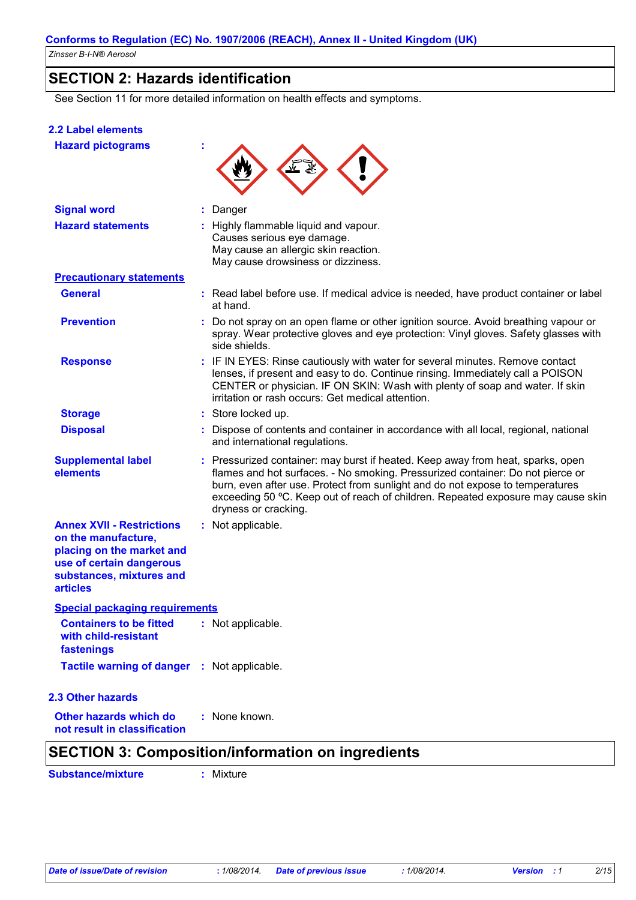### **SECTION 2: Hazards identification**

See Section 11 for more detailed information on health effects and symptoms.

### **2.2 Label elements**

|  |  | <b>Hazard pictograms</b> |  |
|--|--|--------------------------|--|
|--|--|--------------------------|--|

| <b>Signal word</b>                                                                                                                                              | Danger<br>t.                                                                                                                                                                                                                                                                                                                                                   |
|-----------------------------------------------------------------------------------------------------------------------------------------------------------------|----------------------------------------------------------------------------------------------------------------------------------------------------------------------------------------------------------------------------------------------------------------------------------------------------------------------------------------------------------------|
| <b>Hazard statements</b>                                                                                                                                        | : Highly flammable liquid and vapour.<br>Causes serious eye damage.<br>May cause an allergic skin reaction.<br>May cause drowsiness or dizziness.                                                                                                                                                                                                              |
| <b>Precautionary statements</b>                                                                                                                                 |                                                                                                                                                                                                                                                                                                                                                                |
| <b>General</b>                                                                                                                                                  | : Read label before use. If medical advice is needed, have product container or label<br>at hand.                                                                                                                                                                                                                                                              |
| <b>Prevention</b>                                                                                                                                               | : Do not spray on an open flame or other ignition source. Avoid breathing vapour or<br>spray. Wear protective gloves and eye protection: Vinyl gloves. Safety glasses with<br>side shields.                                                                                                                                                                    |
| <b>Response</b>                                                                                                                                                 | : IF IN EYES: Rinse cautiously with water for several minutes. Remove contact<br>lenses, if present and easy to do. Continue rinsing. Immediately call a POISON<br>CENTER or physician. IF ON SKIN: Wash with plenty of soap and water. If skin<br>irritation or rash occurs: Get medical attention.                                                           |
| <b>Storage</b>                                                                                                                                                  | : Store locked up.                                                                                                                                                                                                                                                                                                                                             |
| <b>Disposal</b>                                                                                                                                                 | Dispose of contents and container in accordance with all local, regional, national<br>and international regulations.                                                                                                                                                                                                                                           |
| <b>Supplemental label</b><br>elements                                                                                                                           | : Pressurized container: may burst if heated. Keep away from heat, sparks, open<br>flames and hot surfaces. - No smoking. Pressurized container: Do not pierce or<br>burn, even after use. Protect from sunlight and do not expose to temperatures<br>exceeding 50 °C. Keep out of reach of children. Repeated exposure may cause skin<br>dryness or cracking. |
| <b>Annex XVII - Restrictions</b><br>on the manufacture,<br>placing on the market and<br>use of certain dangerous<br>substances, mixtures and<br><b>articles</b> | : Not applicable.                                                                                                                                                                                                                                                                                                                                              |
| <b>Special packaging requirements</b>                                                                                                                           |                                                                                                                                                                                                                                                                                                                                                                |
| <b>Containers to be fitted</b><br>with child-resistant<br>fastenings                                                                                            | : Not applicable.                                                                                                                                                                                                                                                                                                                                              |
| Tactile warning of danger : Not applicable.                                                                                                                     |                                                                                                                                                                                                                                                                                                                                                                |
| 2.3 Other hazards                                                                                                                                               |                                                                                                                                                                                                                                                                                                                                                                |
| <b>Other hazards which do</b><br>not result in classification                                                                                                   | : None known.                                                                                                                                                                                                                                                                                                                                                  |

╰

**Substance/mixture :** Mixture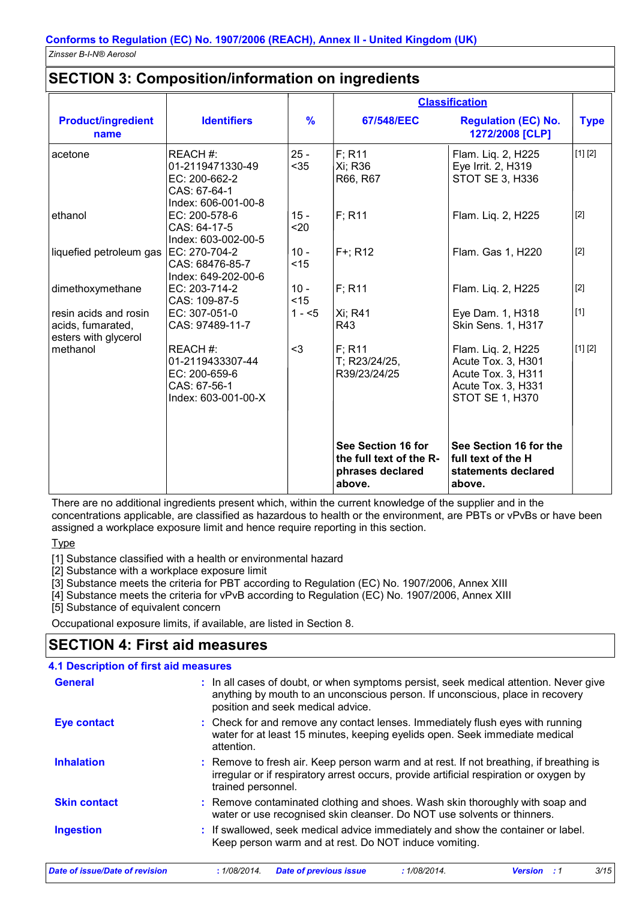### **SECTION 3: Composition/information on ingredients**

|                                                                    |                                                                                     |                |                                                                             | <b>Classification</b>                                                                                          |             |
|--------------------------------------------------------------------|-------------------------------------------------------------------------------------|----------------|-----------------------------------------------------------------------------|----------------------------------------------------------------------------------------------------------------|-------------|
| <b>Product/ingredient</b><br>name                                  | <b>Identifiers</b>                                                                  | $\frac{9}{6}$  | 67/548/EEC                                                                  | <b>Regulation (EC) No.</b><br>1272/2008 [CLP]                                                                  | <b>Type</b> |
| acetone                                                            | REACH#:<br>01-2119471330-49<br>EC: 200-662-2<br>CAS: 67-64-1<br>Index: 606-001-00-8 | $25 -$<br>$35$ | $F$ ; R <sub>11</sub><br>Xi; R36<br>R66, R67                                | Flam. Liq. 2, H225<br>Eye Irrit. 2, H319<br>STOT SE 3, H336                                                    | [1] [2]     |
| ethanol                                                            | EC: 200-578-6<br>CAS: 64-17-5<br>Index: 603-002-00-5                                | $15 -$<br>$20$ | $F$ ; R <sub>11</sub>                                                       | Flam. Liq. 2, H225                                                                                             | $[2]$       |
| liquefied petroleum gas                                            | EC: 270-704-2<br>CAS: 68476-85-7<br>Index: 649-202-00-6                             | $10 -$<br>< 15 | $F+$ ; R12                                                                  | Flam. Gas 1, H220                                                                                              | $[2]$       |
| dimethoxymethane                                                   | EC: 203-714-2<br>CAS: 109-87-5                                                      | $10 -$<br>< 15 | F; R11                                                                      | Flam. Liq. 2, H225                                                                                             | $[2]$       |
| resin acids and rosin<br>acids, fumarated,<br>esters with glycerol | EC: 307-051-0<br>CAS: 97489-11-7                                                    | $1 - 5$        | Xi; R41<br>R43                                                              | Eye Dam. 1, H318<br>Skin Sens. 1, H317                                                                         | $[1]$       |
| methanol                                                           | REACH#:<br>01-2119433307-44<br>EC: 200-659-6<br>CAS: 67-56-1<br>Index: 603-001-00-X | $3$            | $F$ ; R11<br>T; R23/24/25,<br>R39/23/24/25                                  | Flam. Liq. 2, H225<br>Acute Tox. 3, H301<br>Acute Tox. 3, H311<br>Acute Tox. 3, H331<br><b>STOT SE 1, H370</b> | [1] [2]     |
|                                                                    |                                                                                     |                | See Section 16 for<br>the full text of the R-<br>phrases declared<br>above. | See Section 16 for the<br>full text of the H<br>statements declared<br>above.                                  |             |

There are no additional ingredients present which, within the current knowledge of the supplier and in the concentrations applicable, are classified as hazardous to health or the environment, are PBTs or vPvBs or have been assigned a workplace exposure limit and hence require reporting in this section.

**Type** 

[1] Substance classified with a health or environmental hazard

[2] Substance with a workplace exposure limit

[3] Substance meets the criteria for PBT according to Regulation (EC) No. 1907/2006, Annex XIII

[4] Substance meets the criteria for vPvB according to Regulation (EC) No. 1907/2006, Annex XIII

[5] Substance of equivalent concern

Occupational exposure limits, if available, are listed in Section 8.

# **SECTION 4: First aid measures**

| <b>4.1 Description of first aid measures</b> |                                                                                                                                                                                                             |
|----------------------------------------------|-------------------------------------------------------------------------------------------------------------------------------------------------------------------------------------------------------------|
| <b>General</b>                               | : In all cases of doubt, or when symptoms persist, seek medical attention. Never give<br>anything by mouth to an unconscious person. If unconscious, place in recovery<br>position and seek medical advice. |
| <b>Eye contact</b>                           | : Check for and remove any contact lenses. Immediately flush eyes with running<br>water for at least 15 minutes, keeping eyelids open. Seek immediate medical<br>attention.                                 |
| <b>Inhalation</b>                            | : Remove to fresh air. Keep person warm and at rest. If not breathing, if breathing is<br>irregular or if respiratory arrest occurs, provide artificial respiration or oxygen by<br>trained personnel.      |
| <b>Skin contact</b>                          | : Remove contaminated clothing and shoes. Wash skin thoroughly with soap and<br>water or use recognised skin cleanser. Do NOT use solvents or thinners.                                                     |
| <b>Ingestion</b>                             | : If swallowed, seek medical advice immediately and show the container or label.<br>Keep person warm and at rest. Do NOT induce vomiting.                                                                   |
| <b>Date of issue/Date of revision</b>        | 3/15<br>: 1/08/2014.<br><b>Date of previous issue</b><br>: 1/08/2014.<br><b>Version</b> : 1                                                                                                                 |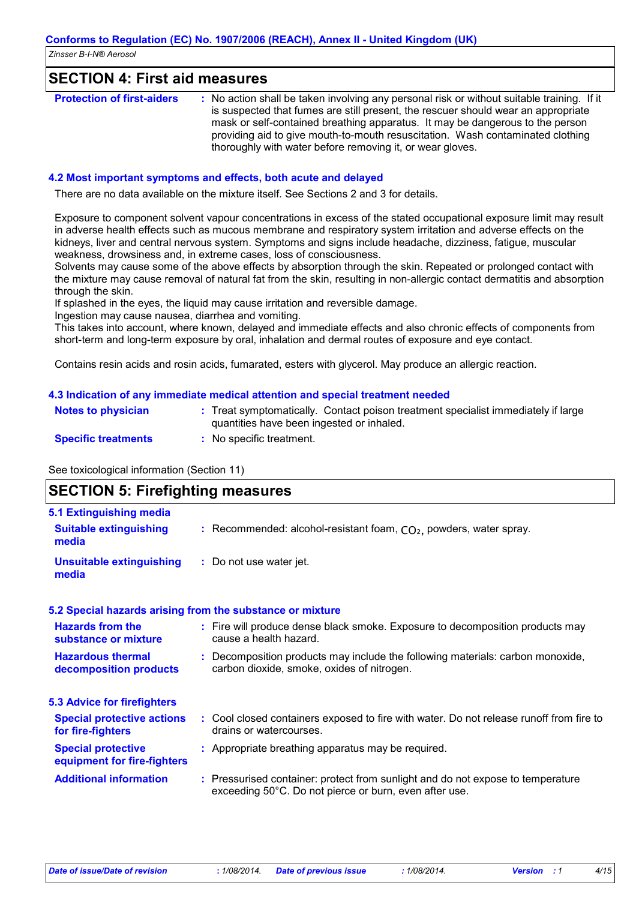### **SECTION 4: First aid measures**

| <b>Protection of first-aiders</b> | : No action shall be taken involving any personal risk or without suitable training. If it<br>is suspected that fumes are still present, the rescuer should wear an appropriate<br>mask or self-contained breathing apparatus. It may be dangerous to the person<br>providing aid to give mouth-to-mouth resuscitation. Wash contaminated clothing |
|-----------------------------------|----------------------------------------------------------------------------------------------------------------------------------------------------------------------------------------------------------------------------------------------------------------------------------------------------------------------------------------------------|
|                                   | thoroughly with water before removing it, or wear gloves.                                                                                                                                                                                                                                                                                          |

#### **4.2 Most important symptoms and effects, both acute and delayed**

There are no data available on the mixture itself. See Sections 2 and 3 for details.

Exposure to component solvent vapour concentrations in excess of the stated occupational exposure limit may result in adverse health effects such as mucous membrane and respiratory system irritation and adverse effects on the kidneys, liver and central nervous system. Symptoms and signs include headache, dizziness, fatigue, muscular weakness, drowsiness and, in extreme cases, loss of consciousness.

Solvents may cause some of the above effects by absorption through the skin. Repeated or prolonged contact with the mixture may cause removal of natural fat from the skin, resulting in non-allergic contact dermatitis and absorption through the skin.

If splashed in the eyes, the liquid may cause irritation and reversible damage.

Ingestion may cause nausea, diarrhea and vomiting.

This takes into account, where known, delayed and immediate effects and also chronic effects of components from short-term and long-term exposure by oral, inhalation and dermal routes of exposure and eye contact.

Contains resin acids and rosin acids, fumarated, esters with glycerol. May produce an allergic reaction.

### **4.3 Indication of any immediate medical attention and special treatment needed**

| <b>Notes to physician</b>  | Treat symptomatically. Contact poison treatment specialist immediately if large<br>quantities have been ingested or inhaled. |
|----------------------------|------------------------------------------------------------------------------------------------------------------------------|
| <b>Specific treatments</b> | No specific treatment.                                                                                                       |

See toxicological information (Section 11)

| <b>SECTION 5: Firefighting measures</b>                                  |                                                                                                                                           |  |
|--------------------------------------------------------------------------|-------------------------------------------------------------------------------------------------------------------------------------------|--|
| <b>5.1 Extinguishing media</b><br><b>Suitable extinguishing</b><br>media | : Recommended: alcohol-resistant foam, $CO2$ , powders, water spray.                                                                      |  |
| <b>Unsuitable extinguishing</b><br>media                                 | : Do not use water jet.                                                                                                                   |  |
|                                                                          | 5.2 Special hazards arising from the substance or mixture                                                                                 |  |
| <b>Hazards from the</b><br>substance or mixture                          | : Fire will produce dense black smoke. Exposure to decomposition products may<br>cause a health hazard.                                   |  |
| <b>Hazardous thermal</b><br>decomposition products                       | : Decomposition products may include the following materials: carbon monoxide,<br>carbon dioxide, smoke, oxides of nitrogen.              |  |
| <b>5.3 Advice for firefighters</b>                                       |                                                                                                                                           |  |
| <b>Special protective actions</b><br>for fire-fighters                   | : Cool closed containers exposed to fire with water. Do not release runoff from fire to<br>drains or watercourses.                        |  |
| <b>Special protective</b><br>equipment for fire-fighters                 | : Appropriate breathing apparatus may be required.                                                                                        |  |
| <b>Additional information</b>                                            | : Pressurised container: protect from sunlight and do not expose to temperature<br>exceeding 50°C. Do not pierce or burn, even after use. |  |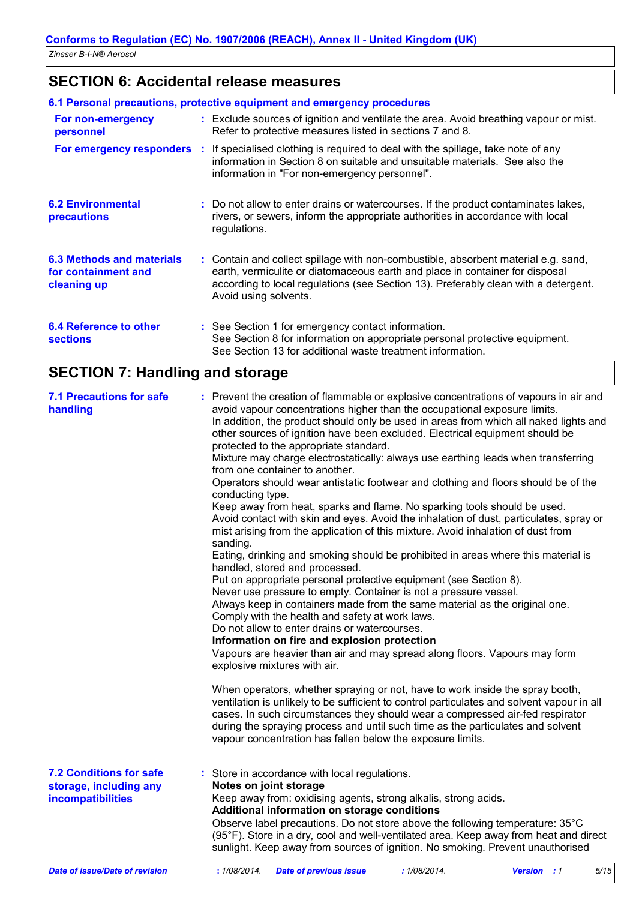### **SECTION 6: Accidental release measures**

|                                                                        | 6.1 Personal precautions, protective equipment and emergency procedures                                                                                                                                                                                                            |
|------------------------------------------------------------------------|------------------------------------------------------------------------------------------------------------------------------------------------------------------------------------------------------------------------------------------------------------------------------------|
| For non-emergency<br>personnel                                         | : Exclude sources of ignition and ventilate the area. Avoid breathing vapour or mist.<br>Refer to protective measures listed in sections 7 and 8.                                                                                                                                  |
|                                                                        | <b>For emergency responders</b> : If specialised clothing is required to deal with the spillage, take note of any<br>information in Section 8 on suitable and unsuitable materials. See also the<br>information in "For non-emergency personnel".                                  |
| <b>6.2 Environmental</b><br>precautions                                | : Do not allow to enter drains or watercourses. If the product contaminates lakes,<br>rivers, or sewers, inform the appropriate authorities in accordance with local<br>regulations.                                                                                               |
| <b>6.3 Methods and materials</b><br>for containment and<br>cleaning up | : Contain and collect spillage with non-combustible, absorbent material e.g. sand,<br>earth, vermiculite or diatomaceous earth and place in container for disposal<br>according to local regulations (see Section 13). Preferably clean with a detergent.<br>Avoid using solvents. |
| 6.4 Reference to other<br><b>sections</b>                              | : See Section 1 for emergency contact information.<br>See Section 8 for information on appropriate personal protective equipment.<br>See Section 13 for additional waste treatment information.                                                                                    |

# **SECTION 7: Handling and storage**

| <b>7.1 Precautions for safe</b><br>handling                                   | : Prevent the creation of flammable or explosive concentrations of vapours in air and<br>avoid vapour concentrations higher than the occupational exposure limits.<br>In addition, the product should only be used in areas from which all naked lights and<br>other sources of ignition have been excluded. Electrical equipment should be<br>protected to the appropriate standard.<br>Mixture may charge electrostatically: always use earthing leads when transferring<br>from one container to another.<br>Operators should wear antistatic footwear and clothing and floors should be of the<br>conducting type.<br>Keep away from heat, sparks and flame. No sparking tools should be used.<br>Avoid contact with skin and eyes. Avoid the inhalation of dust, particulates, spray or<br>mist arising from the application of this mixture. Avoid inhalation of dust from<br>sanding.<br>Eating, drinking and smoking should be prohibited in areas where this material is<br>handled, stored and processed.<br>Put on appropriate personal protective equipment (see Section 8).<br>Never use pressure to empty. Container is not a pressure vessel.<br>Always keep in containers made from the same material as the original one.<br>Comply with the health and safety at work laws.<br>Do not allow to enter drains or watercourses.<br>Information on fire and explosion protection<br>Vapours are heavier than air and may spread along floors. Vapours may form<br>explosive mixtures with air.<br>When operators, whether spraying or not, have to work inside the spray booth,<br>ventilation is unlikely to be sufficient to control particulates and solvent vapour in all<br>cases. In such circumstances they should wear a compressed air-fed respirator<br>during the spraying process and until such time as the particulates and solvent<br>vapour concentration has fallen below the exposure limits. |
|-------------------------------------------------------------------------------|-------------------------------------------------------------------------------------------------------------------------------------------------------------------------------------------------------------------------------------------------------------------------------------------------------------------------------------------------------------------------------------------------------------------------------------------------------------------------------------------------------------------------------------------------------------------------------------------------------------------------------------------------------------------------------------------------------------------------------------------------------------------------------------------------------------------------------------------------------------------------------------------------------------------------------------------------------------------------------------------------------------------------------------------------------------------------------------------------------------------------------------------------------------------------------------------------------------------------------------------------------------------------------------------------------------------------------------------------------------------------------------------------------------------------------------------------------------------------------------------------------------------------------------------------------------------------------------------------------------------------------------------------------------------------------------------------------------------------------------------------------------------------------------------------------------------------------------------------------------------------------------------------------------------------------|
| <b>7.2 Conditions for safe</b><br>storage, including any<br>incompatibilities | : Store in accordance with local regulations.<br>Notes on joint storage<br>Keep away from: oxidising agents, strong alkalis, strong acids.<br>Additional information on storage conditions<br>Observe label precautions. Do not store above the following temperature: 35°C<br>(95°F). Store in a dry, cool and well-ventilated area. Keep away from heat and direct<br>sunlight. Keep away from sources of ignition. No smoking. Prevent unauthorised                                                                                                                                                                                                                                                                                                                                                                                                                                                                                                                                                                                                                                                                                                                                                                                                                                                                                                                                                                                                                                                                                                                                                                                                                                                                                                                                                                                                                                                                        |
| Date of issue/Date of revision                                                | 5/15<br>: 1/08/2014.<br><b>Date of previous issue</b><br>:1/08/2014.<br><b>Version</b> : 1                                                                                                                                                                                                                                                                                                                                                                                                                                                                                                                                                                                                                                                                                                                                                                                                                                                                                                                                                                                                                                                                                                                                                                                                                                                                                                                                                                                                                                                                                                                                                                                                                                                                                                                                                                                                                                    |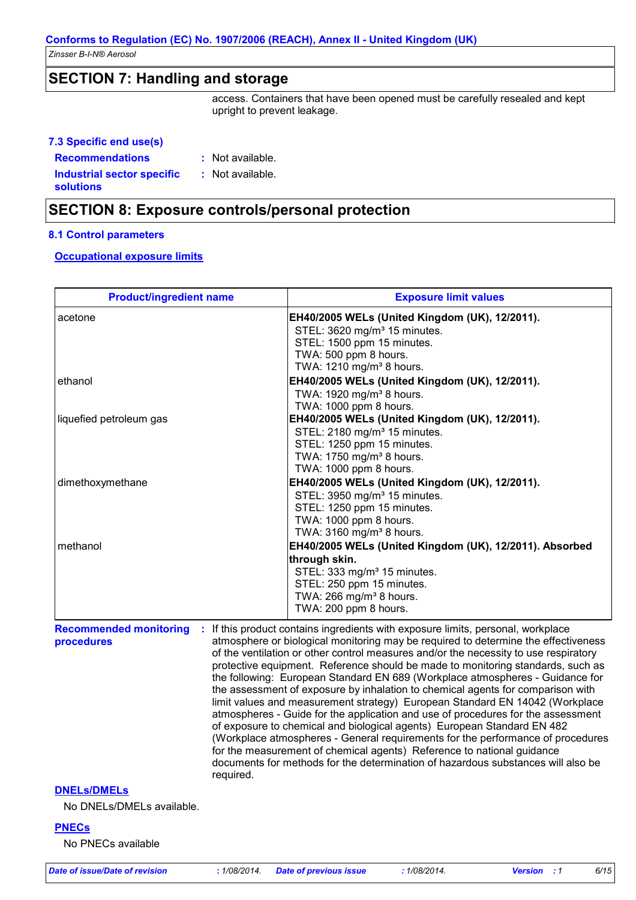### **Conforms to Regulation (EC) No. 1907/2006 (REACH), Annex II - United Kingdom (UK)**

*Zinsser B-I-N® Aerosol*

### **SECTION 7: Handling and storage**

access. Containers that have been opened must be carefully resealed and kept upright to prevent leakage.

| 7.3 Specific end use(s)                               |                  |
|-------------------------------------------------------|------------------|
| <b>Recommendations</b>                                | : Not available. |
| <b>Industrial sector specific</b><br><b>solutions</b> | : Not available. |

### **SECTION 8: Exposure controls/personal protection**

#### **8.1 Control parameters**

### **Occupational exposure limits**

| <b>Product/ingredient name</b>                  |           | <b>Exposure limit values</b>                                                                                                                                                                                                                                                                                                                                                                                                                                                                                                                                                                                                                                                                                                                                                                                                                                                                                                                                                                                          |
|-------------------------------------------------|-----------|-----------------------------------------------------------------------------------------------------------------------------------------------------------------------------------------------------------------------------------------------------------------------------------------------------------------------------------------------------------------------------------------------------------------------------------------------------------------------------------------------------------------------------------------------------------------------------------------------------------------------------------------------------------------------------------------------------------------------------------------------------------------------------------------------------------------------------------------------------------------------------------------------------------------------------------------------------------------------------------------------------------------------|
| acetone                                         |           | EH40/2005 WELs (United Kingdom (UK), 12/2011).<br>STEL: 3620 mg/m <sup>3</sup> 15 minutes.<br>STEL: 1500 ppm 15 minutes.<br>TWA: 500 ppm 8 hours.<br>TWA: 1210 mg/m <sup>3</sup> 8 hours.                                                                                                                                                                                                                                                                                                                                                                                                                                                                                                                                                                                                                                                                                                                                                                                                                             |
| ethanol                                         |           | EH40/2005 WELs (United Kingdom (UK), 12/2011).<br>TWA: 1920 mg/m <sup>3</sup> 8 hours.<br>TWA: 1000 ppm 8 hours.                                                                                                                                                                                                                                                                                                                                                                                                                                                                                                                                                                                                                                                                                                                                                                                                                                                                                                      |
| liquefied petroleum gas                         |           | EH40/2005 WELs (United Kingdom (UK), 12/2011).<br>STEL: 2180 mg/m <sup>3</sup> 15 minutes.<br>STEL: 1250 ppm 15 minutes.<br>TWA: 1750 mg/m <sup>3</sup> 8 hours.<br>TWA: 1000 ppm 8 hours.                                                                                                                                                                                                                                                                                                                                                                                                                                                                                                                                                                                                                                                                                                                                                                                                                            |
| dimethoxymethane                                |           | EH40/2005 WELs (United Kingdom (UK), 12/2011).<br>STEL: 3950 mg/m <sup>3</sup> 15 minutes.<br>STEL: 1250 ppm 15 minutes.<br>TWA: 1000 ppm 8 hours.<br>TWA: 3160 mg/m <sup>3</sup> 8 hours.                                                                                                                                                                                                                                                                                                                                                                                                                                                                                                                                                                                                                                                                                                                                                                                                                            |
| methanol                                        |           | EH40/2005 WELs (United Kingdom (UK), 12/2011). Absorbed<br>through skin.<br>STEL: 333 mg/m <sup>3</sup> 15 minutes.<br>STEL: 250 ppm 15 minutes.<br>TWA: 266 mg/m <sup>3</sup> 8 hours.<br>TWA: 200 ppm 8 hours.                                                                                                                                                                                                                                                                                                                                                                                                                                                                                                                                                                                                                                                                                                                                                                                                      |
| <b>Recommended monitoring</b><br>procedures     | required. | : If this product contains ingredients with exposure limits, personal, workplace<br>atmosphere or biological monitoring may be required to determine the effectiveness<br>of the ventilation or other control measures and/or the necessity to use respiratory<br>protective equipment. Reference should be made to monitoring standards, such as<br>the following: European Standard EN 689 (Workplace atmospheres - Guidance for<br>the assessment of exposure by inhalation to chemical agents for comparison with<br>limit values and measurement strategy) European Standard EN 14042 (Workplace<br>atmospheres - Guide for the application and use of procedures for the assessment<br>of exposure to chemical and biological agents) European Standard EN 482<br>(Workplace atmospheres - General requirements for the performance of procedures<br>for the measurement of chemical agents) Reference to national guidance<br>documents for methods for the determination of hazardous substances will also be |
| <b>DNELS/DMELS</b><br>No DNELs/DMELs available. |           |                                                                                                                                                                                                                                                                                                                                                                                                                                                                                                                                                                                                                                                                                                                                                                                                                                                                                                                                                                                                                       |
| <b>PNECs</b><br>No PNECs available              |           |                                                                                                                                                                                                                                                                                                                                                                                                                                                                                                                                                                                                                                                                                                                                                                                                                                                                                                                                                                                                                       |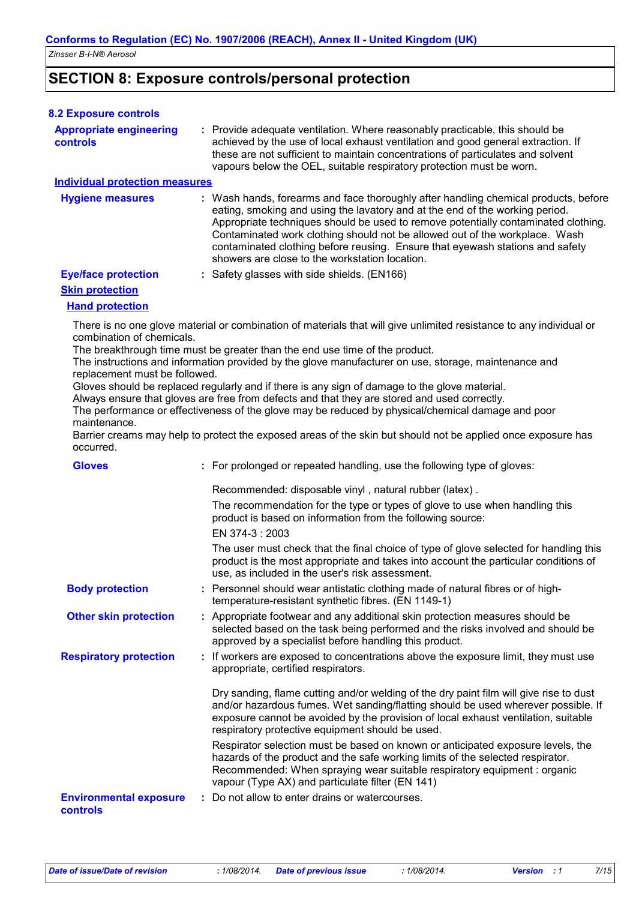### **SECTION 8: Exposure controls/personal protection**

| <b>8.2 Exposure controls</b>                                                            |                                                                                                                                                                                                                                                                                                                                                                                                                                                                                                                                                                                                                                                                                                                                  |
|-----------------------------------------------------------------------------------------|----------------------------------------------------------------------------------------------------------------------------------------------------------------------------------------------------------------------------------------------------------------------------------------------------------------------------------------------------------------------------------------------------------------------------------------------------------------------------------------------------------------------------------------------------------------------------------------------------------------------------------------------------------------------------------------------------------------------------------|
| <b>Appropriate engineering</b><br><b>controls</b>                                       | : Provide adequate ventilation. Where reasonably practicable, this should be<br>achieved by the use of local exhaust ventilation and good general extraction. If<br>these are not sufficient to maintain concentrations of particulates and solvent<br>vapours below the OEL, suitable respiratory protection must be worn.                                                                                                                                                                                                                                                                                                                                                                                                      |
| <b>Individual protection measures</b>                                                   |                                                                                                                                                                                                                                                                                                                                                                                                                                                                                                                                                                                                                                                                                                                                  |
| <b>Hygiene measures</b>                                                                 | : Wash hands, forearms and face thoroughly after handling chemical products, before<br>eating, smoking and using the lavatory and at the end of the working period.<br>Appropriate techniques should be used to remove potentially contaminated clothing.<br>Contaminated work clothing should not be allowed out of the workplace. Wash<br>contaminated clothing before reusing. Ensure that eyewash stations and safety<br>showers are close to the workstation location.                                                                                                                                                                                                                                                      |
| <b>Eye/face protection</b>                                                              | : Safety glasses with side shields. (EN166)                                                                                                                                                                                                                                                                                                                                                                                                                                                                                                                                                                                                                                                                                      |
| <b>Skin protection</b>                                                                  |                                                                                                                                                                                                                                                                                                                                                                                                                                                                                                                                                                                                                                                                                                                                  |
| <b>Hand protection</b>                                                                  |                                                                                                                                                                                                                                                                                                                                                                                                                                                                                                                                                                                                                                                                                                                                  |
| combination of chemicals.<br>replacement must be followed.<br>maintenance.<br>occurred. | There is no one glove material or combination of materials that will give unlimited resistance to any individual or<br>The breakthrough time must be greater than the end use time of the product.<br>The instructions and information provided by the glove manufacturer on use, storage, maintenance and<br>Gloves should be replaced regularly and if there is any sign of damage to the glove material.<br>Always ensure that gloves are free from defects and that they are stored and used correctly.<br>The performance or effectiveness of the glove may be reduced by physical/chemical damage and poor<br>Barrier creams may help to protect the exposed areas of the skin but should not be applied once exposure has |
| <b>Gloves</b>                                                                           | : For prolonged or repeated handling, use the following type of gloves:                                                                                                                                                                                                                                                                                                                                                                                                                                                                                                                                                                                                                                                          |
|                                                                                         | Recommended: disposable vinyl, natural rubber (latex).                                                                                                                                                                                                                                                                                                                                                                                                                                                                                                                                                                                                                                                                           |
|                                                                                         | The recommendation for the type or types of glove to use when handling this<br>product is based on information from the following source:<br>EN 374-3: 2003                                                                                                                                                                                                                                                                                                                                                                                                                                                                                                                                                                      |
|                                                                                         | The user must check that the final choice of type of glove selected for handling this<br>product is the most appropriate and takes into account the particular conditions of<br>use, as included in the user's risk assessment.                                                                                                                                                                                                                                                                                                                                                                                                                                                                                                  |
| <b>Body protection</b>                                                                  | : Personnel should wear antistatic clothing made of natural fibres or of high-<br>temperature-resistant synthetic fibres. (EN 1149-1)                                                                                                                                                                                                                                                                                                                                                                                                                                                                                                                                                                                            |
| <b>Other skin protection</b>                                                            | : Appropriate footwear and any additional skin protection measures should be<br>selected based on the task being performed and the risks involved and should be<br>approved by a specialist before handling this product.                                                                                                                                                                                                                                                                                                                                                                                                                                                                                                        |
| <b>Respiratory protection</b>                                                           | : If workers are exposed to concentrations above the exposure limit, they must use<br>appropriate, certified respirators.                                                                                                                                                                                                                                                                                                                                                                                                                                                                                                                                                                                                        |
|                                                                                         | Dry sanding, flame cutting and/or welding of the dry paint film will give rise to dust<br>and/or hazardous fumes. Wet sanding/flatting should be used wherever possible. If<br>exposure cannot be avoided by the provision of local exhaust ventilation, suitable<br>respiratory protective equipment should be used.                                                                                                                                                                                                                                                                                                                                                                                                            |
|                                                                                         | Respirator selection must be based on known or anticipated exposure levels, the<br>hazards of the product and the safe working limits of the selected respirator.<br>Recommended: When spraying wear suitable respiratory equipment : organic<br>vapour (Type AX) and particulate filter (EN 141)                                                                                                                                                                                                                                                                                                                                                                                                                                |
| <b>Environmental exposure</b><br>controls                                               | Do not allow to enter drains or watercourses.                                                                                                                                                                                                                                                                                                                                                                                                                                                                                                                                                                                                                                                                                    |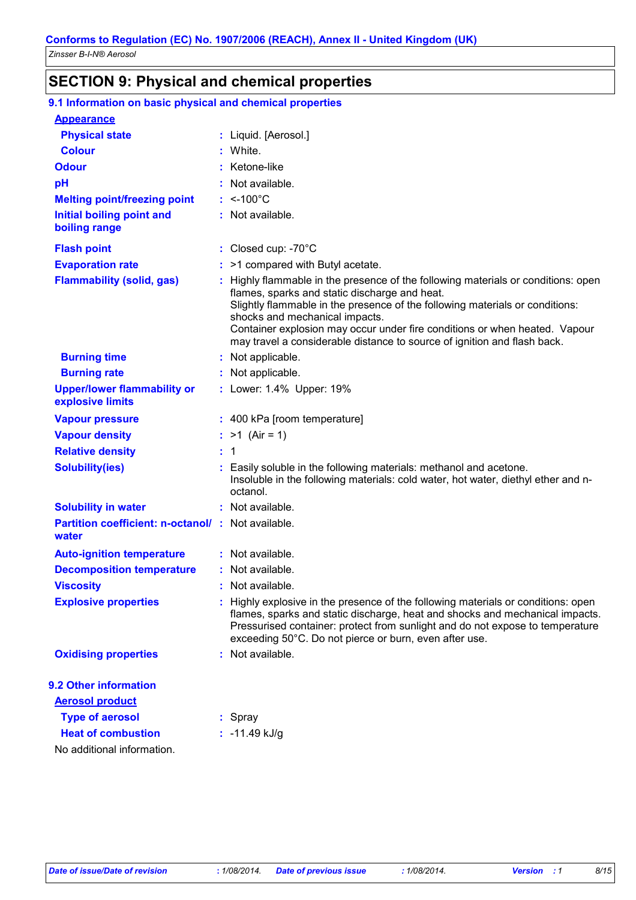# **SECTION 9: Physical and chemical properties**

| 9.1 Information on basic physical and chemical properties  |                                                                                                                                                                                                                                                                                                                                                                                                              |
|------------------------------------------------------------|--------------------------------------------------------------------------------------------------------------------------------------------------------------------------------------------------------------------------------------------------------------------------------------------------------------------------------------------------------------------------------------------------------------|
| <b>Appearance</b>                                          |                                                                                                                                                                                                                                                                                                                                                                                                              |
| <b>Physical state</b>                                      | : Liquid. [Aerosol.]                                                                                                                                                                                                                                                                                                                                                                                         |
| <b>Colour</b>                                              | : White.                                                                                                                                                                                                                                                                                                                                                                                                     |
| <b>Odour</b>                                               | : Ketone-like                                                                                                                                                                                                                                                                                                                                                                                                |
| pH                                                         | Not available.                                                                                                                                                                                                                                                                                                                                                                                               |
| <b>Melting point/freezing point</b>                        | $:$ <-100 $^{\circ}$ C                                                                                                                                                                                                                                                                                                                                                                                       |
| <b>Initial boiling point and</b><br>boiling range          | : Not available.                                                                                                                                                                                                                                                                                                                                                                                             |
| <b>Flash point</b>                                         | : Closed cup: $-70^{\circ}$ C                                                                                                                                                                                                                                                                                                                                                                                |
| <b>Evaporation rate</b>                                    | $:$ >1 compared with Butyl acetate.                                                                                                                                                                                                                                                                                                                                                                          |
| <b>Flammability (solid, gas)</b>                           | Highly flammable in the presence of the following materials or conditions: open<br>flames, sparks and static discharge and heat.<br>Slightly flammable in the presence of the following materials or conditions:<br>shocks and mechanical impacts.<br>Container explosion may occur under fire conditions or when heated. Vapour<br>may travel a considerable distance to source of ignition and flash back. |
| <b>Burning time</b>                                        | : Not applicable.                                                                                                                                                                                                                                                                                                                                                                                            |
| <b>Burning rate</b>                                        | : Not applicable.                                                                                                                                                                                                                                                                                                                                                                                            |
| <b>Upper/lower flammability or</b><br>explosive limits     | : Lower: 1.4% Upper: 19%                                                                                                                                                                                                                                                                                                                                                                                     |
| <b>Vapour pressure</b>                                     | : 400 kPa [room temperature]                                                                                                                                                                                                                                                                                                                                                                                 |
| <b>Vapour density</b>                                      | : $>1$ (Air = 1)                                                                                                                                                                                                                                                                                                                                                                                             |
| <b>Relative density</b>                                    | : 1                                                                                                                                                                                                                                                                                                                                                                                                          |
| <b>Solubility(ies)</b>                                     | Easily soluble in the following materials: methanol and acetone.<br>Insoluble in the following materials: cold water, hot water, diethyl ether and n-<br>octanol.                                                                                                                                                                                                                                            |
| <b>Solubility in water</b>                                 | : Not available.                                                                                                                                                                                                                                                                                                                                                                                             |
| Partition coefficient: n-octanol/: Not available.<br>water |                                                                                                                                                                                                                                                                                                                                                                                                              |
| <b>Auto-ignition temperature</b>                           | : Not available.                                                                                                                                                                                                                                                                                                                                                                                             |
| <b>Decomposition temperature</b>                           | : Not available.                                                                                                                                                                                                                                                                                                                                                                                             |
| <b>Viscosity</b>                                           | : Not available.                                                                                                                                                                                                                                                                                                                                                                                             |
| <b>Explosive properties</b>                                | Highly explosive in the presence of the following materials or conditions: open<br>flames, sparks and static discharge, heat and shocks and mechanical impacts.<br>Pressurised container: protect from sunlight and do not expose to temperature<br>exceeding 50°C. Do not pierce or burn, even after use.                                                                                                   |
| <b>Oxidising properties</b>                                | : Not available.                                                                                                                                                                                                                                                                                                                                                                                             |
| 9.2 Other information                                      |                                                                                                                                                                                                                                                                                                                                                                                                              |
| <b>Aerosol product</b>                                     |                                                                                                                                                                                                                                                                                                                                                                                                              |
| <b>Type of aerosol</b>                                     | : Spray                                                                                                                                                                                                                                                                                                                                                                                                      |
| <b>Heat of combustion</b>                                  | : $-11.49$ kJ/g                                                                                                                                                                                                                                                                                                                                                                                              |
| No additional information.                                 |                                                                                                                                                                                                                                                                                                                                                                                                              |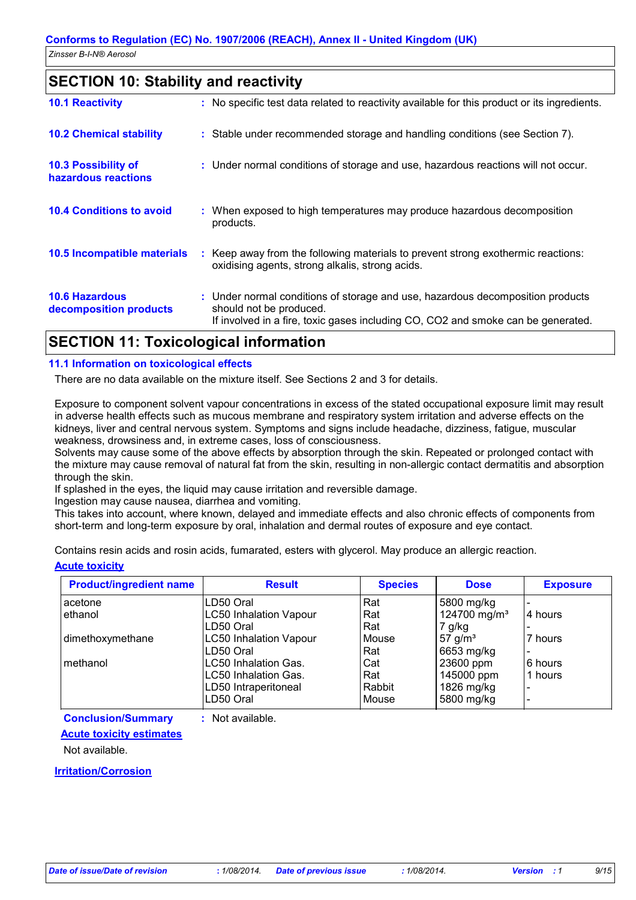### **SECTION 10: Stability and reactivity**

| <b>10.1 Reactivity</b>                          |    | : No specific test data related to reactivity available for this product or its ingredients.                                                                                                  |
|-------------------------------------------------|----|-----------------------------------------------------------------------------------------------------------------------------------------------------------------------------------------------|
| <b>10.2 Chemical stability</b>                  |    | : Stable under recommended storage and handling conditions (see Section 7).                                                                                                                   |
| 10.3 Possibility of<br>hazardous reactions      |    | : Under normal conditions of storage and use, hazardous reactions will not occur.                                                                                                             |
| <b>10.4 Conditions to avoid</b>                 |    | : When exposed to high temperatures may produce hazardous decomposition<br>products.                                                                                                          |
| 10.5 Incompatible materials                     | ÷. | Keep away from the following materials to prevent strong exothermic reactions:<br>oxidising agents, strong alkalis, strong acids.                                                             |
| <b>10.6 Hazardous</b><br>decomposition products |    | : Under normal conditions of storage and use, hazardous decomposition products<br>should not be produced.<br>If involved in a fire, toxic gases including CO, CO2 and smoke can be generated. |

### **SECTION 11: Toxicological information**

### **11.1 Information on toxicological effects**

There are no data available on the mixture itself. See Sections 2 and 3 for details.

Exposure to component solvent vapour concentrations in excess of the stated occupational exposure limit may result in adverse health effects such as mucous membrane and respiratory system irritation and adverse effects on the kidneys, liver and central nervous system. Symptoms and signs include headache, dizziness, fatigue, muscular weakness, drowsiness and, in extreme cases, loss of consciousness.

Solvents may cause some of the above effects by absorption through the skin. Repeated or prolonged contact with the mixture may cause removal of natural fat from the skin, resulting in non-allergic contact dermatitis and absorption through the skin.

If splashed in the eyes, the liquid may cause irritation and reversible damage.

Ingestion may cause nausea, diarrhea and vomiting.

This takes into account, where known, delayed and immediate effects and also chronic effects of components from short-term and long-term exposure by oral, inhalation and dermal routes of exposure and eye contact.

Contains resin acids and rosin acids, fumarated, esters with glycerol. May produce an allergic reaction.

# **Acute toxicity**

| <b>Product/ingredient name</b> | <b>Result</b>                 | <b>Species</b> | <b>Dose</b>              | <b>Exposure</b> |
|--------------------------------|-------------------------------|----------------|--------------------------|-----------------|
| acetone                        | LD50 Oral                     | Rat            | 5800 mg/kg               |                 |
| ethanol                        | <b>LC50 Inhalation Vapour</b> | Rat            | 124700 mg/m <sup>3</sup> | 4 hours         |
|                                | LD50 Oral                     | Rat            | 7 g/kg                   |                 |
| dimethoxymethane               | <b>LC50 Inhalation Vapour</b> | Mouse          | 57 g/m <sup>3</sup>      | 7 hours         |
|                                | LD50 Oral                     | Rat            | 6653 mg/kg               |                 |
| methanol                       | <b>LC50 Inhalation Gas.</b>   | Cat            | 23600 ppm                | 6 hours         |
|                                | <b>LC50 Inhalation Gas.</b>   | Rat            | 145000 ppm               | 1 hours         |
|                                | LD50 Intraperitoneal          | Rabbit         | 1826 mg/kg               |                 |
|                                | LD50 Oral                     | Mouse          | 5800 mg/kg               |                 |

**Conclusion/Summary :** Not available.

#### **Acute toxicity estimates**

Not available.

#### **Irritation/Corrosion**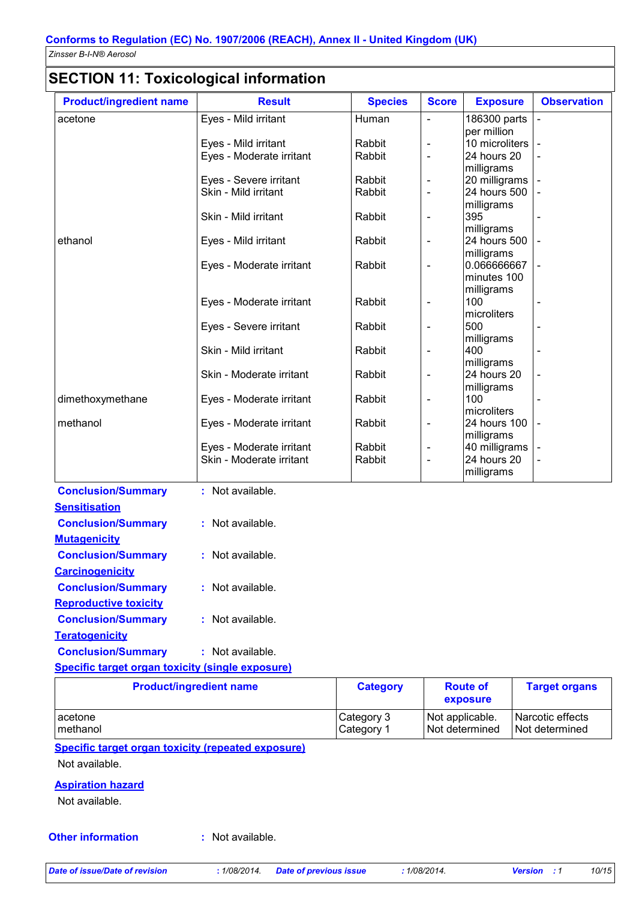### **SECTION 11: Toxicological information**

| <b>Product/ingredient name</b> | <b>Result</b>                                        | <b>Species</b>   | <b>Score</b>                                         | <b>Exposure</b>               | <b>Observation</b>       |
|--------------------------------|------------------------------------------------------|------------------|------------------------------------------------------|-------------------------------|--------------------------|
| acetone                        | Eyes - Mild irritant                                 | Human            | $\overline{\phantom{0}}$                             | 186300 parts                  | $\overline{a}$           |
|                                |                                                      |                  |                                                      | per million                   |                          |
|                                | Eyes - Mild irritant                                 | Rabbit           | $\overline{\phantom{0}}$                             | 10 microliters                |                          |
|                                | Eyes - Moderate irritant                             | Rabbit           | $\overline{\phantom{0}}$                             | 24 hours 20                   |                          |
|                                |                                                      |                  |                                                      | milligrams                    |                          |
|                                | Eyes - Severe irritant<br>Skin - Mild irritant       | Rabbit<br>Rabbit | $\overline{\phantom{0}}$<br>$\overline{\phantom{0}}$ | 20 milligrams<br>24 hours 500 |                          |
|                                |                                                      |                  |                                                      | milligrams                    |                          |
|                                | Skin - Mild irritant                                 | Rabbit           | $\overline{\phantom{0}}$                             | 395                           |                          |
|                                |                                                      |                  |                                                      | milligrams                    |                          |
| ethanol                        | Eyes - Mild irritant                                 | Rabbit           | $\qquad \qquad \blacksquare$                         | 24 hours 500                  |                          |
|                                |                                                      |                  |                                                      | milligrams                    |                          |
|                                | Eyes - Moderate irritant                             | Rabbit           | $\qquad \qquad \blacksquare$                         | 0.066666667                   |                          |
|                                |                                                      |                  |                                                      | minutes 100                   |                          |
|                                |                                                      |                  |                                                      | milligrams                    |                          |
|                                | Eyes - Moderate irritant                             | Rabbit           | -                                                    | 100                           |                          |
|                                |                                                      |                  |                                                      | microliters<br>500            |                          |
|                                | Eyes - Severe irritant                               | Rabbit           | $\overline{\phantom{0}}$                             | milligrams                    |                          |
|                                | Skin - Mild irritant                                 | Rabbit           | $\blacksquare$                                       | 400                           | $\overline{\phantom{0}}$ |
|                                |                                                      |                  |                                                      | milligrams                    |                          |
|                                | Skin - Moderate irritant                             | Rabbit           | $\overline{\phantom{0}}$                             | 24 hours 20                   |                          |
|                                |                                                      |                  |                                                      | milligrams                    |                          |
| dimethoxymethane               | Eyes - Moderate irritant                             | Rabbit           | $\overline{\phantom{a}}$                             | 100                           |                          |
|                                |                                                      |                  |                                                      | microliters                   |                          |
| methanol                       | Eyes - Moderate irritant                             | Rabbit           | $\overline{\phantom{a}}$                             | 24 hours 100                  |                          |
|                                |                                                      | Rabbit           |                                                      | milligrams                    |                          |
|                                | Eyes - Moderate irritant<br>Skin - Moderate irritant | Rabbit           | $\qquad \qquad \blacksquare$<br>$\blacksquare$       | 40 milligrams<br>24 hours 20  |                          |
|                                |                                                      |                  |                                                      | milligrams                    |                          |
|                                |                                                      |                  |                                                      |                               |                          |
| <b>Conclusion/Summary</b>      | : Not available.                                     |                  |                                                      |                               |                          |
| <b>Sensitisation</b>           |                                                      |                  |                                                      |                               |                          |
| <b>Conclusion/Summary</b>      | : Not available.                                     |                  |                                                      |                               |                          |
| <b>Mutagenicity</b>            |                                                      |                  |                                                      |                               |                          |
| <b>Conclusion/Summary</b>      | : Not available.                                     |                  |                                                      |                               |                          |
| <b>Carcinogenicity</b>         |                                                      |                  |                                                      |                               |                          |
| <b>Conclusion/Summary</b>      | : Not available.                                     |                  |                                                      |                               |                          |
| <b>Reproductive toxicity</b>   |                                                      |                  |                                                      |                               |                          |
| <b>Conclusion/Summary</b>      | : Not available.                                     |                  |                                                      |                               |                          |
| <b>Teratogenicity</b>          |                                                      |                  |                                                      |                               |                          |
| <b>Conclusion/Summary</b>      | : Not available.                                     |                  |                                                      |                               |                          |
|                                |                                                      |                  |                                                      |                               |                          |

#### **Specific target organ toxicity (single exposure)**

| <b>Product/ingredient name</b> | <b>Category</b> | <b>Route of</b><br>exposure | <b>Target organs</b> |
|--------------------------------|-----------------|-----------------------------|----------------------|
| l acetone                      | Category 3      | Not applicable.             | Narcotic effects     |
| I methanol                     | Category 1      | I Not determined            | l Not determined     |

**Specific target organ toxicity (repeated exposure)**

Not available.

### **Aspiration hazard**

Not available.

#### **Other information :**

: Not available.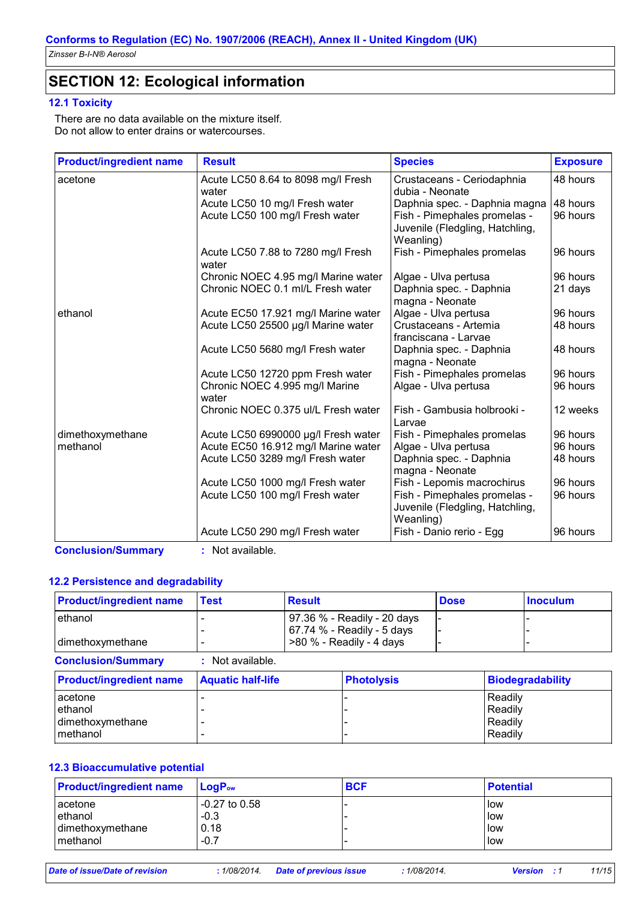# **SECTION 12: Ecological information**

### **12.1 Toxicity**

There are no data available on the mixture itself. Do not allow to enter drains or watercourses.

| <b>Product/ingredient name</b> | <b>Result</b>                               | <b>Species</b>                                                               | <b>Exposure</b> |
|--------------------------------|---------------------------------------------|------------------------------------------------------------------------------|-----------------|
| acetone                        | Acute LC50 8.64 to 8098 mg/l Fresh<br>water | Crustaceans - Ceriodaphnia<br>dubia - Neonate                                | 48 hours        |
|                                | Acute LC50 10 mg/l Fresh water              | Daphnia spec. - Daphnia magna                                                | 48 hours        |
|                                | Acute LC50 100 mg/l Fresh water             | Fish - Pimephales promelas -<br>Juvenile (Fledgling, Hatchling,<br>Weanling) | 96 hours        |
|                                | Acute LC50 7.88 to 7280 mg/l Fresh<br>water | Fish - Pimephales promelas                                                   | 96 hours        |
|                                | Chronic NOEC 4.95 mg/l Marine water         | Algae - Ulva pertusa                                                         | 96 hours        |
|                                | Chronic NOEC 0.1 ml/L Fresh water           | Daphnia spec. - Daphnia<br>magna - Neonate                                   | 21 days         |
| ethanol                        | Acute EC50 17.921 mg/l Marine water         | Algae - Ulva pertusa                                                         | 96 hours        |
|                                | Acute LC50 25500 µg/l Marine water          | Crustaceans - Artemia<br>franciscana - Larvae                                | 48 hours        |
|                                | Acute LC50 5680 mg/l Fresh water            | Daphnia spec. - Daphnia<br>magna - Neonate                                   | 48 hours        |
|                                | Acute LC50 12720 ppm Fresh water            | Fish - Pimephales promelas                                                   | 96 hours        |
|                                | Chronic NOEC 4.995 mg/l Marine<br>water     | Algae - Ulva pertusa                                                         | 96 hours        |
|                                | Chronic NOEC 0.375 ul/L Fresh water         | Fish - Gambusia holbrooki -<br>Larvae                                        | 12 weeks        |
| dimethoxymethane               | Acute LC50 6990000 µg/l Fresh water         | Fish - Pimephales promelas                                                   | 96 hours        |
| methanol                       | Acute EC50 16.912 mg/l Marine water         | Algae - Ulva pertusa                                                         | 96 hours        |
|                                | Acute LC50 3289 mg/l Fresh water            | Daphnia spec. - Daphnia<br>magna - Neonate                                   | 48 hours        |
|                                | Acute LC50 1000 mg/l Fresh water            | Fish - Lepomis macrochirus                                                   | 96 hours        |
|                                | Acute LC50 100 mg/l Fresh water             | Fish - Pimephales promelas -<br>Juvenile (Fledgling, Hatchling,<br>Weanling) | 96 hours        |
|                                | Acute LC50 290 mg/l Fresh water             | Fish - Danio rerio - Egg                                                     | 96 hours        |

**Conclusion/Summary :** Not available.

### **12.2 Persistence and degradability**

| <b>Product/ingredient name</b> | Test | <b>Result</b>               | <b>Dose</b> | <b>Inoculum</b> |
|--------------------------------|------|-----------------------------|-------------|-----------------|
| l ethanol                      |      | 97.36 % - Readily - 20 days |             |                 |
|                                |      | 67.74 % - Readily - 5 days  |             |                 |
| dimethoxymethane               |      | $>80$ % - Readily - 4 days  |             |                 |

| <b>Conclusion/Summary</b>                          | : Not available.         |                   |                                          |
|----------------------------------------------------|--------------------------|-------------------|------------------------------------------|
| <b>Product/ingredient name</b>                     | <b>Aquatic half-life</b> | <b>Photolysis</b> | Biodegradability                         |
| acetone<br>ethanol<br>dimethoxymethane<br>methanol |                          |                   | Readily<br>Readily<br>Readily<br>Readily |

### **12.3 Bioaccumulative potential**

| <b>Product/ingredient name</b> | $LogP_{ow}$     | <b>BCF</b> | <b>Potential</b> |
|--------------------------------|-----------------|------------|------------------|
| acetone                        | $-0.27$ to 0.58 |            | l low            |
| ethanol                        | $-0.3$          |            | low              |
| dimethoxymethane               | 0.18            |            | low              |
| methanol                       | $-0.7$          |            | low              |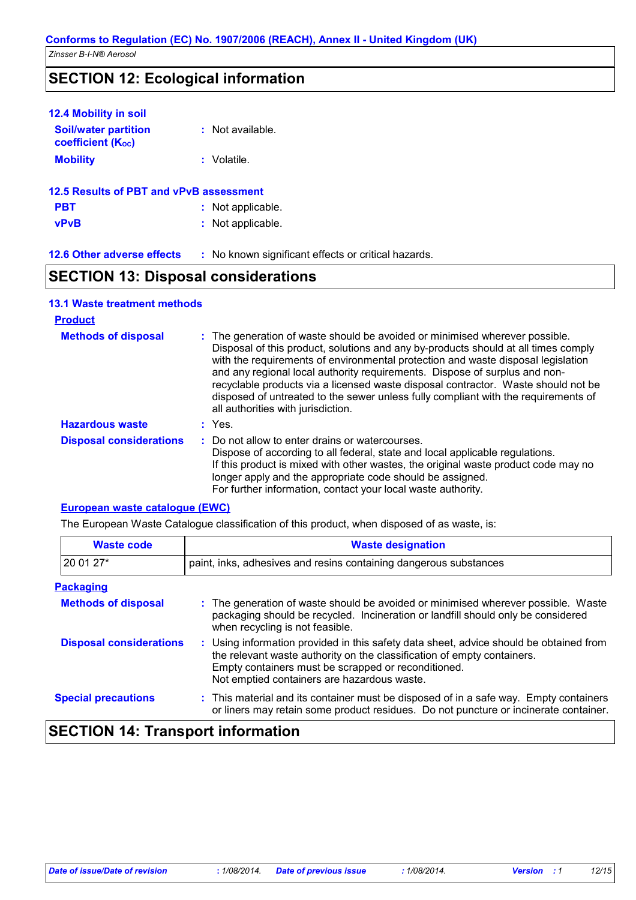### **SECTION 12: Ecological information**

| 12.4 Mobility in soil                                   |                                                     |
|---------------------------------------------------------|-----------------------------------------------------|
| <b>Soil/water partition</b><br><b>coefficient (Koc)</b> | : Not available.                                    |
| <b>Mobility</b>                                         | : Volatile.                                         |
| 12.5 Results of PBT and vPvB assessment                 |                                                     |
| <b>PBT</b>                                              | : Not applicable.                                   |
| <b>vPvB</b>                                             | : Not applicable.                                   |
| <b>12.6 Other adverse effects</b>                       | : No known significant effects or critical hazards. |
|                                                         |                                                     |

## **SECTION 13: Disposal considerations**

| <b>13.1 Waste treatment methods</b> |                                                                                                                                                                                                                                                                                                                                                                                                                                                                                                                                                      |
|-------------------------------------|------------------------------------------------------------------------------------------------------------------------------------------------------------------------------------------------------------------------------------------------------------------------------------------------------------------------------------------------------------------------------------------------------------------------------------------------------------------------------------------------------------------------------------------------------|
| <b>Product</b>                      |                                                                                                                                                                                                                                                                                                                                                                                                                                                                                                                                                      |
| <b>Methods of disposal</b>          | : The generation of waste should be avoided or minimised wherever possible.<br>Disposal of this product, solutions and any by-products should at all times comply<br>with the requirements of environmental protection and waste disposal legislation<br>and any regional local authority requirements. Dispose of surplus and non-<br>recyclable products via a licensed waste disposal contractor. Waste should not be<br>disposed of untreated to the sewer unless fully compliant with the requirements of<br>all authorities with jurisdiction. |
| <b>Hazardous waste</b>              | $:$ Yes.                                                                                                                                                                                                                                                                                                                                                                                                                                                                                                                                             |
| <b>Disposal considerations</b>      | : Do not allow to enter drains or watercourses.<br>Dispose of according to all federal, state and local applicable regulations.<br>If this product is mixed with other wastes, the original waste product code may no<br>longer apply and the appropriate code should be assigned.<br>For further information, contact your local waste authority.                                                                                                                                                                                                   |

#### **European waste catalogue (EWC)**

The European Waste Catalogue classification of this product, when disposed of as waste, is:

| <b>Waste code</b>              | <b>Waste designation</b>                                                                                                                                                                                                                                                |  |
|--------------------------------|-------------------------------------------------------------------------------------------------------------------------------------------------------------------------------------------------------------------------------------------------------------------------|--|
| 20 01 27*                      | paint, inks, adhesives and resins containing dangerous substances                                                                                                                                                                                                       |  |
| <b>Packaging</b>               |                                                                                                                                                                                                                                                                         |  |
| <b>Methods of disposal</b>     | : The generation of waste should be avoided or minimised wherever possible. Waste<br>packaging should be recycled. Incineration or landfill should only be considered<br>when recycling is not feasible.                                                                |  |
| <b>Disposal considerations</b> | : Using information provided in this safety data sheet, advice should be obtained from<br>the relevant waste authority on the classification of empty containers.<br>Empty containers must be scrapped or reconditioned.<br>Not emptied containers are hazardous waste. |  |
| <b>Special precautions</b>     | : This material and its container must be disposed of in a safe way. Empty containers<br>or liners may retain some product residues. Do not puncture or incinerate container.                                                                                           |  |
|                                |                                                                                                                                                                                                                                                                         |  |

# **SECTION 14: Transport information**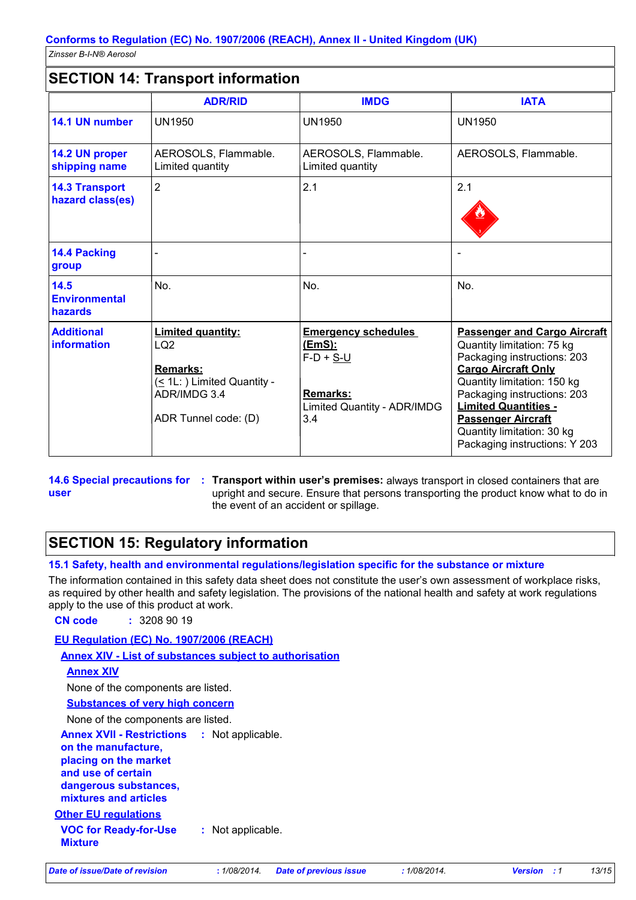### **SECTION 14: Transport information**

|                                           | <b>ADR/RID</b>                                                                                                                        | <b>IMDG</b>                                                                                                         | <b>IATA</b>                                                                                                                                                                                                                                                                                                             |
|-------------------------------------------|---------------------------------------------------------------------------------------------------------------------------------------|---------------------------------------------------------------------------------------------------------------------|-------------------------------------------------------------------------------------------------------------------------------------------------------------------------------------------------------------------------------------------------------------------------------------------------------------------------|
| 14.1 UN number                            | <b>UN1950</b>                                                                                                                         | <b>UN1950</b>                                                                                                       | <b>UN1950</b>                                                                                                                                                                                                                                                                                                           |
| 14.2 UN proper<br>shipping name           | AEROSOLS, Flammable.<br>Limited quantity                                                                                              | AEROSOLS, Flammable.<br>Limited quantity                                                                            | AEROSOLS, Flammable.                                                                                                                                                                                                                                                                                                    |
| <b>14.3 Transport</b><br>hazard class(es) | $\overline{2}$                                                                                                                        | 2.1                                                                                                                 | 2.1                                                                                                                                                                                                                                                                                                                     |
| <b>14.4 Packing</b><br>group              |                                                                                                                                       |                                                                                                                     |                                                                                                                                                                                                                                                                                                                         |
| 14.5<br><b>Environmental</b><br>hazards   | No.                                                                                                                                   | No.                                                                                                                 | No.                                                                                                                                                                                                                                                                                                                     |
| <b>Additional</b><br>information          | <b>Limited quantity:</b><br>LQ <sub>2</sub><br><b>Remarks:</b><br>(< 1L: ) Limited Quantity -<br>ADR/IMDG 3.4<br>ADR Tunnel code: (D) | <b>Emergency schedules</b><br><u>(EmS):</u><br>$F-D + S-U$<br><b>Remarks:</b><br>Limited Quantity - ADR/IMDG<br>3.4 | <b>Passenger and Cargo Aircraft</b><br>Quantity limitation: 75 kg<br>Packaging instructions: 203<br><b>Cargo Aircraft Only</b><br>Quantity limitation: 150 kg<br>Packaging instructions: 203<br><b>Limited Quantities -</b><br><b>Passenger Aircraft</b><br>Quantity limitation: 30 kg<br>Packaging instructions: Y 203 |

**user**

**14.6 Special precautions for : Transport within user's premises: always transport in closed containers that are** upright and secure. Ensure that persons transporting the product know what to do in the event of an accident or spillage.

# **SECTION 15: Regulatory information**

**15.1 Safety, health and environmental regulations/legislation specific for the substance or mixture**

The information contained in this safety data sheet does not constitute the user's own assessment of workplace risks, as required by other health and safety legislation. The provisions of the national health and safety at work regulations apply to the use of this product at work.

**CN code :** 3208 90 19

**EU Regulation (EC) No. 1907/2006 (REACH)**

**Annex XIV - List of substances subject to authorisation**

```
Annex XIV
```
None of the components are listed.

**Substances of very high concern**

None of the components are listed.

**Annex XVII - Restrictions on the manufacture,** : Not applicable.

**placing on the market and use of certain** 

**dangerous substances,**

**mixtures and articles**

**Other EU regulations**

**VOC for Ready-for-Use Mixture :** Not applicable.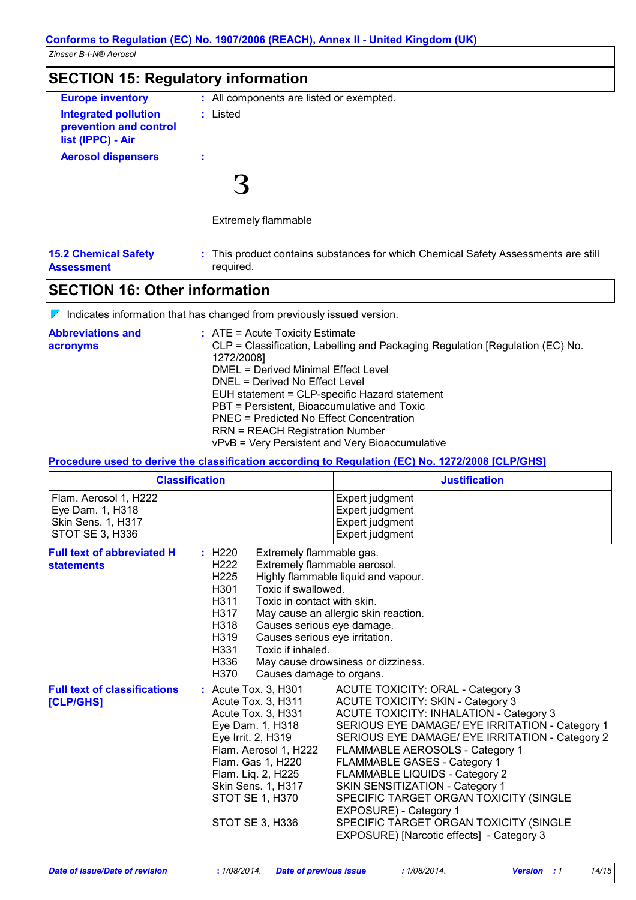| <b>SECTION 15: Regulatory information</b>                                  |                                          |  |
|----------------------------------------------------------------------------|------------------------------------------|--|
| <b>Europe inventory</b>                                                    | : All components are listed or exempted. |  |
| <b>Integrated pollution</b><br>prevention and control<br>list (IPPC) - Air | : Listed                                 |  |
| <b>Aerosol dispensers</b>                                                  | ÷                                        |  |
|                                                                            |                                          |  |
|                                                                            | <b>Extremely flammable</b>               |  |

| <b>15.2 Chemical Safety</b> |  |
|-----------------------------|--|
| <b>Assessment</b>           |  |

This product contains substances for which Chemical Safety Assessments are still **:** required.

### **SECTION 16: Other information**

 $\nabla$  Indicates information that has changed from previously issued version.

| <b>Abbreviations and</b> | $:$ ATE = Acute Toxicity Estimate                                             |
|--------------------------|-------------------------------------------------------------------------------|
| acronyms                 | CLP = Classification, Labelling and Packaging Regulation [Regulation (EC) No. |
|                          | 1272/2008]                                                                    |
|                          | DMEL = Derived Minimal Effect Level                                           |
|                          | DNEL = Derived No Effect Level                                                |
|                          | EUH statement = CLP-specific Hazard statement                                 |
|                          | PBT = Persistent, Bioaccumulative and Toxic                                   |
|                          | PNEC = Predicted No Effect Concentration                                      |
|                          | <b>RRN = REACH Registration Number</b>                                        |
|                          | vPvB = Very Persistent and Very Bioaccumulative                               |

**Procedure used to derive the classification according to Regulation (EC) No. 1272/2008 [CLP/GHS]**

|                                                                                    | <b>Classification</b>                                                                                                                                                                                                                                                                                                                             | <b>Justification</b>                                                                                                                                                                                                                                                                                                                                                                                                                                                                                                                     |
|------------------------------------------------------------------------------------|---------------------------------------------------------------------------------------------------------------------------------------------------------------------------------------------------------------------------------------------------------------------------------------------------------------------------------------------------|------------------------------------------------------------------------------------------------------------------------------------------------------------------------------------------------------------------------------------------------------------------------------------------------------------------------------------------------------------------------------------------------------------------------------------------------------------------------------------------------------------------------------------------|
| Flam. Aerosol 1, H222<br>Eye Dam. 1, H318<br>Skin Sens. 1, H317<br>STOT SE 3, H336 |                                                                                                                                                                                                                                                                                                                                                   | Expert judgment<br>Expert judgment<br>Expert judgment<br>Expert judgment                                                                                                                                                                                                                                                                                                                                                                                                                                                                 |
| <b>Full text of abbreviated H</b><br><b>statements</b>                             | Extremely flammable gas.<br>: H220<br>Extremely flammable aerosol.<br>H <sub>222</sub><br>H <sub>225</sub><br>Toxic if swallowed.<br>H301<br>H311<br>Toxic in contact with skin.<br>H317<br>H318<br>Causes serious eye damage.<br>H319<br>Causes serious eye irritation.<br>Toxic if inhaled.<br>H331<br>H336<br>H370<br>Causes damage to organs. | Highly flammable liquid and vapour.<br>May cause an allergic skin reaction.<br>May cause drowsiness or dizziness.                                                                                                                                                                                                                                                                                                                                                                                                                        |
| <b>Full text of classifications</b><br>[CLP/GHS]                                   | : Acute Tox. 3, H301<br>Acute Tox. 3, H311<br>Acute Tox. 3, H331<br>Eye Dam. 1, H318<br>Eye Irrit. 2, H319<br>Flam. Aerosol 1, H222<br>Flam. Gas 1, H220<br>Flam. Liq. 2, H225<br>Skin Sens. 1, H317<br><b>STOT SE 1, H370</b><br>STOT SE 3, H336                                                                                                 | <b>ACUTE TOXICITY: ORAL - Category 3</b><br><b>ACUTE TOXICITY: SKIN - Category 3</b><br>ACUTE TOXICITY: INHALATION - Category 3<br>SERIOUS EYE DAMAGE/ EYE IRRITATION - Category 1<br>SERIOUS EYE DAMAGE/ EYE IRRITATION - Category 2<br>FLAMMABLE AEROSOLS - Category 1<br>FLAMMABLE GASES - Category 1<br>FLAMMABLE LIQUIDS - Category 2<br>SKIN SENSITIZATION - Category 1<br>SPECIFIC TARGET ORGAN TOXICITY (SINGLE<br>EXPOSURE) - Category 1<br>SPECIFIC TARGET ORGAN TOXICITY (SINGLE<br>EXPOSURE) [Narcotic effects] - Category 3 |